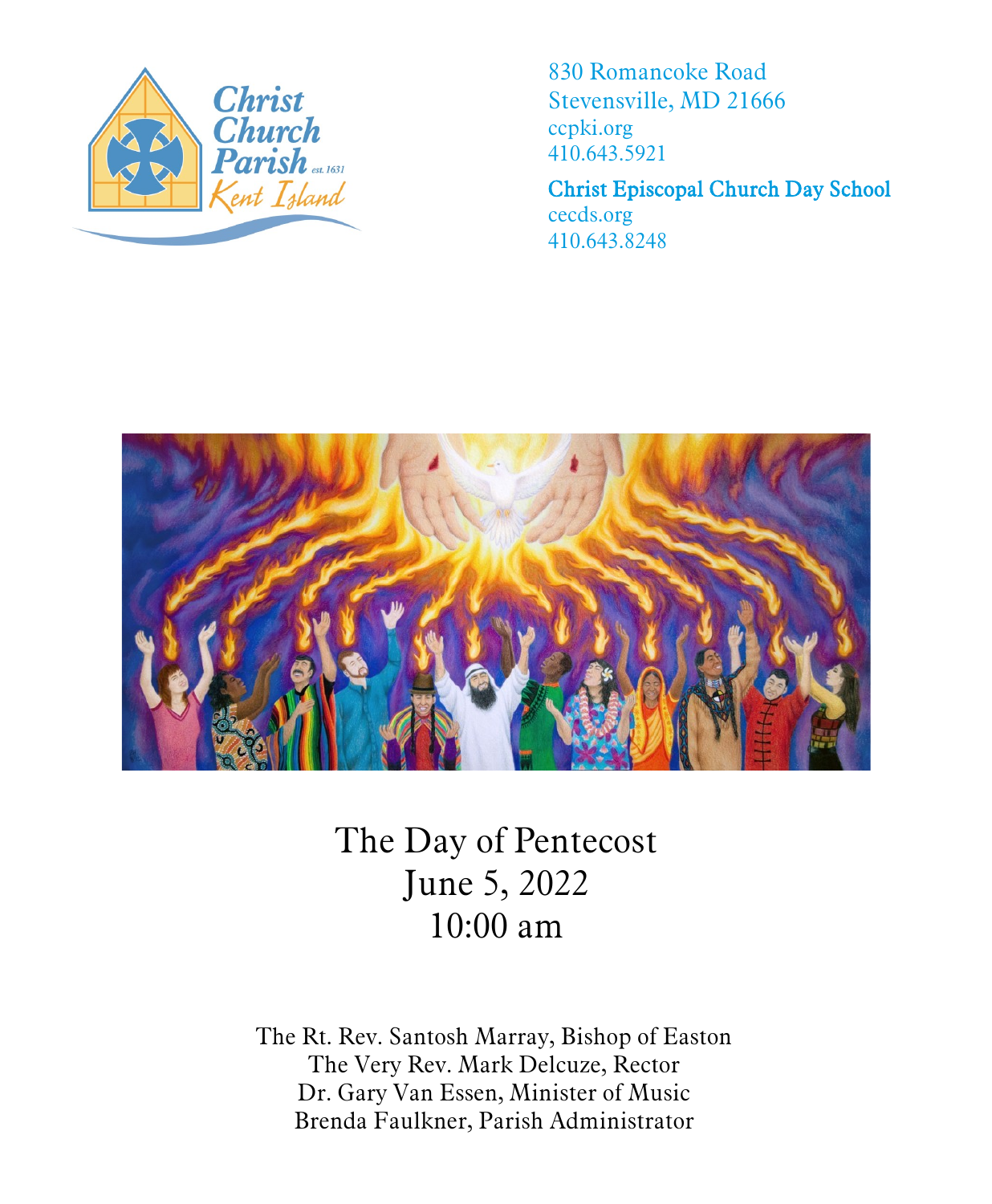

830 Romancoke Road Stevensville, MD 21666 ccpki.org 410.643.5921

Christ Episcopal Church Day School cecds.org 410.643.8248



# The Day of Pentecost June 5, 2022 10:00 am

The Rt. Rev. Santosh Marray, Bishop of Easton The Very Rev. Mark Delcuze, Rector Dr. Gary Van Essen, Minister of Music Brenda Faulkner, Parish Administrator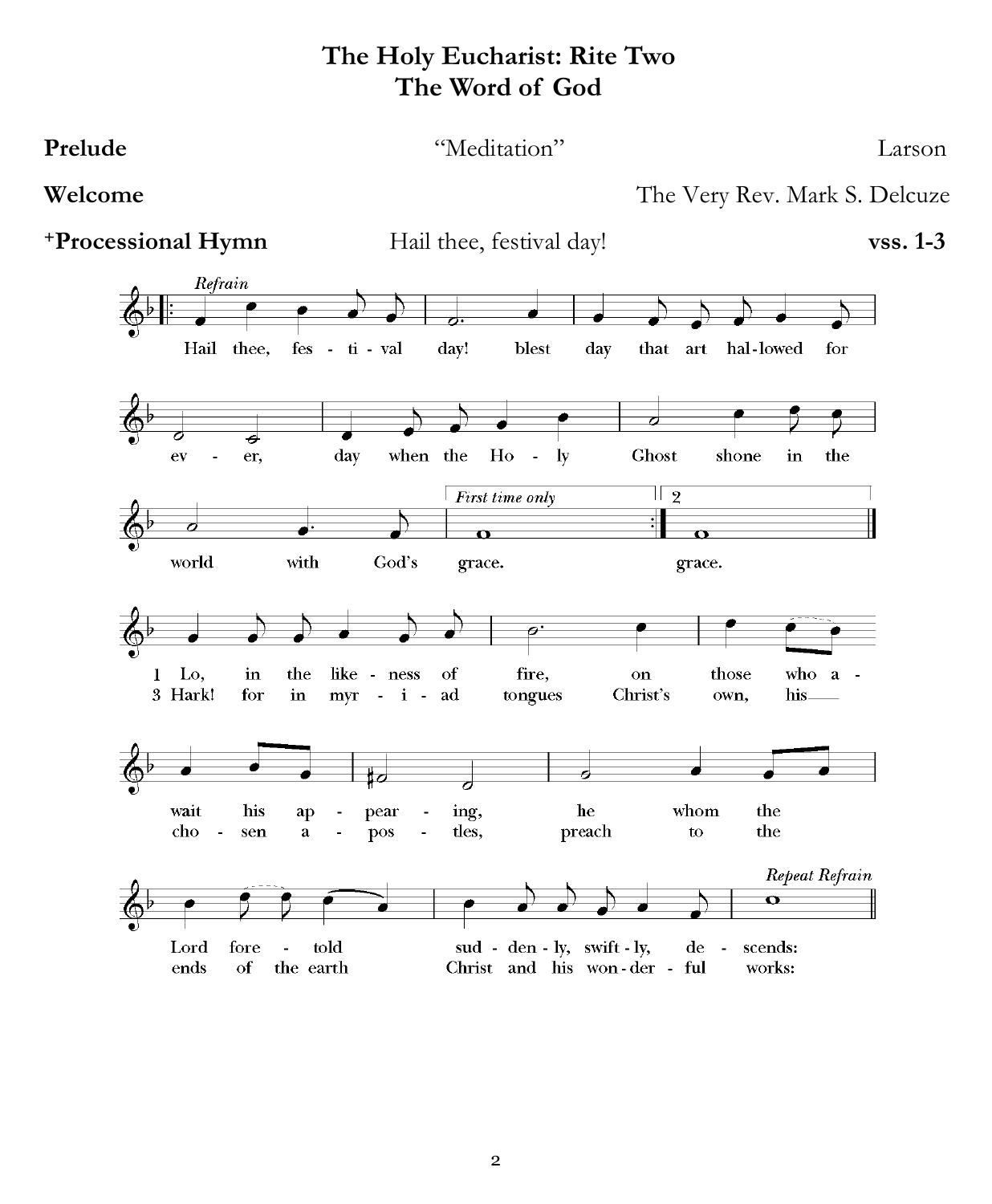# **The Holy Eucharist: Rite Two The Word of God**

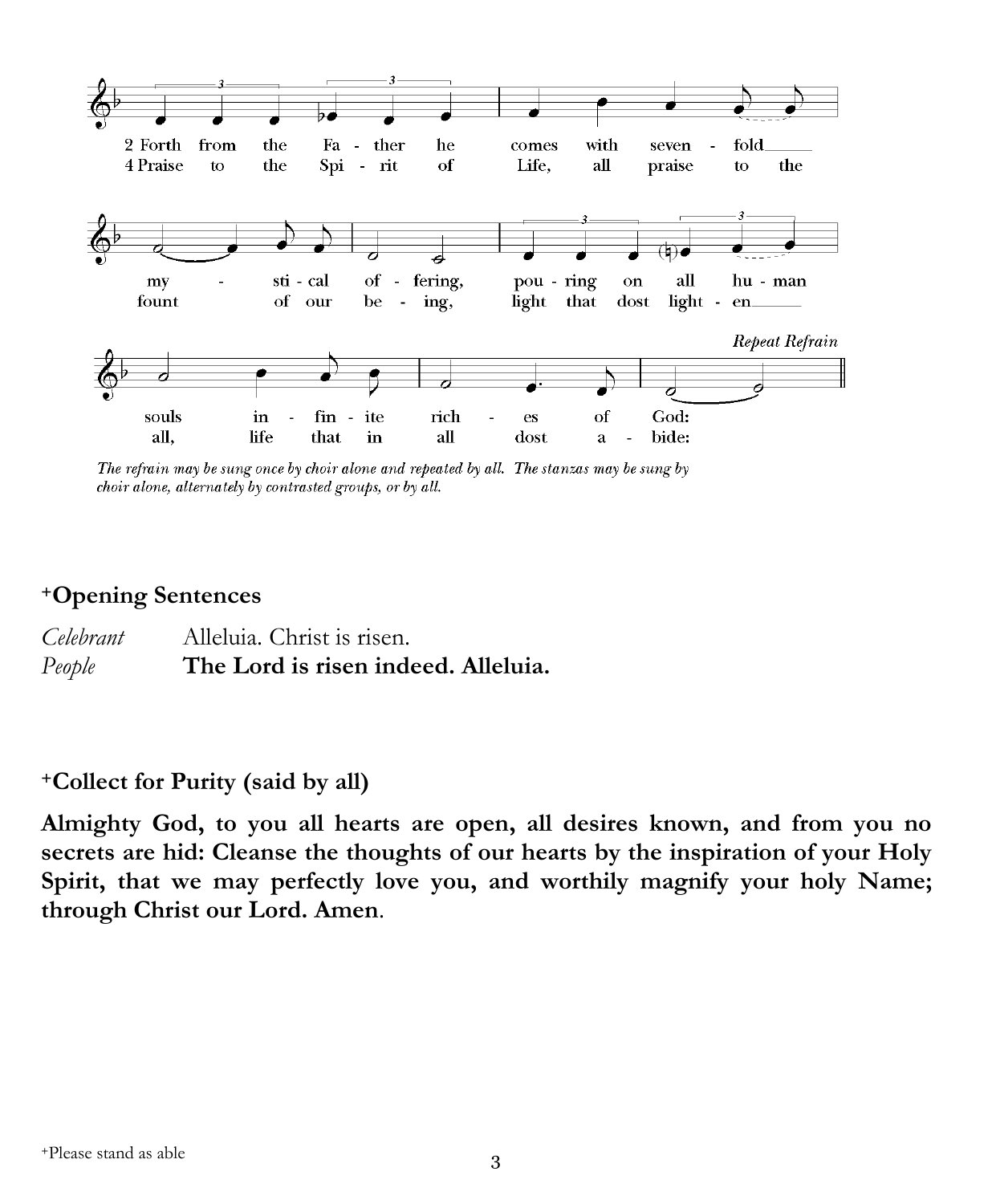

The refrain may be sung once by choir alone and repeated by all. The stanzas may be sung by choir alone, alternately by contrasted groups, or by all.

#### **<sup>+</sup>Opening Sentences**

| Celebrant | Alleluia. Christ is risen.          |
|-----------|-------------------------------------|
| People    | The Lord is risen indeed. Alleluia. |

**<sup>+</sup>Collect for Purity (said by all)**

**Almighty God, to you all hearts are open, all desires known, and from you no secrets are hid: Cleanse the thoughts of our hearts by the inspiration of your Holy Spirit, that we may perfectly love you, and worthily magnify your holy Name; through Christ our Lord. Amen**.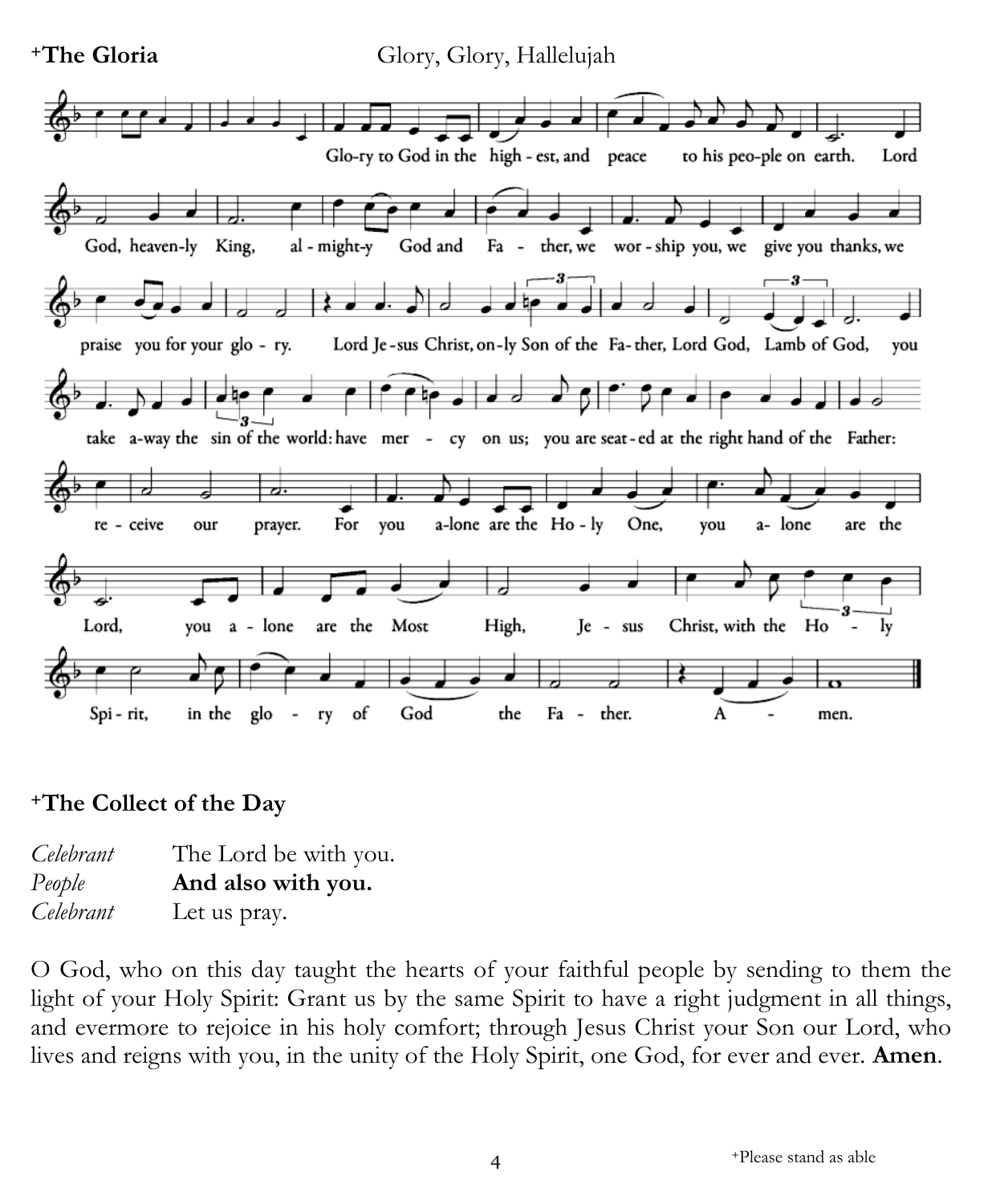

# **<sup>+</sup>The Collect of the Day**

| Celebrant | The Lord be with you. |
|-----------|-----------------------|
| People    | And also with you.    |
| Celebrant | Let us pray.          |

O God, who on this day taught the hearts of your faithful people by sending to them the light of your Holy Spirit: Grant us by the same Spirit to have a right judgment in all things, and evermore to rejoice in his holy comfort; through Jesus Christ your Son our Lord, who lives and reigns with you, in the unity of the Holy Spirit, one God, for ever and ever. **Amen**.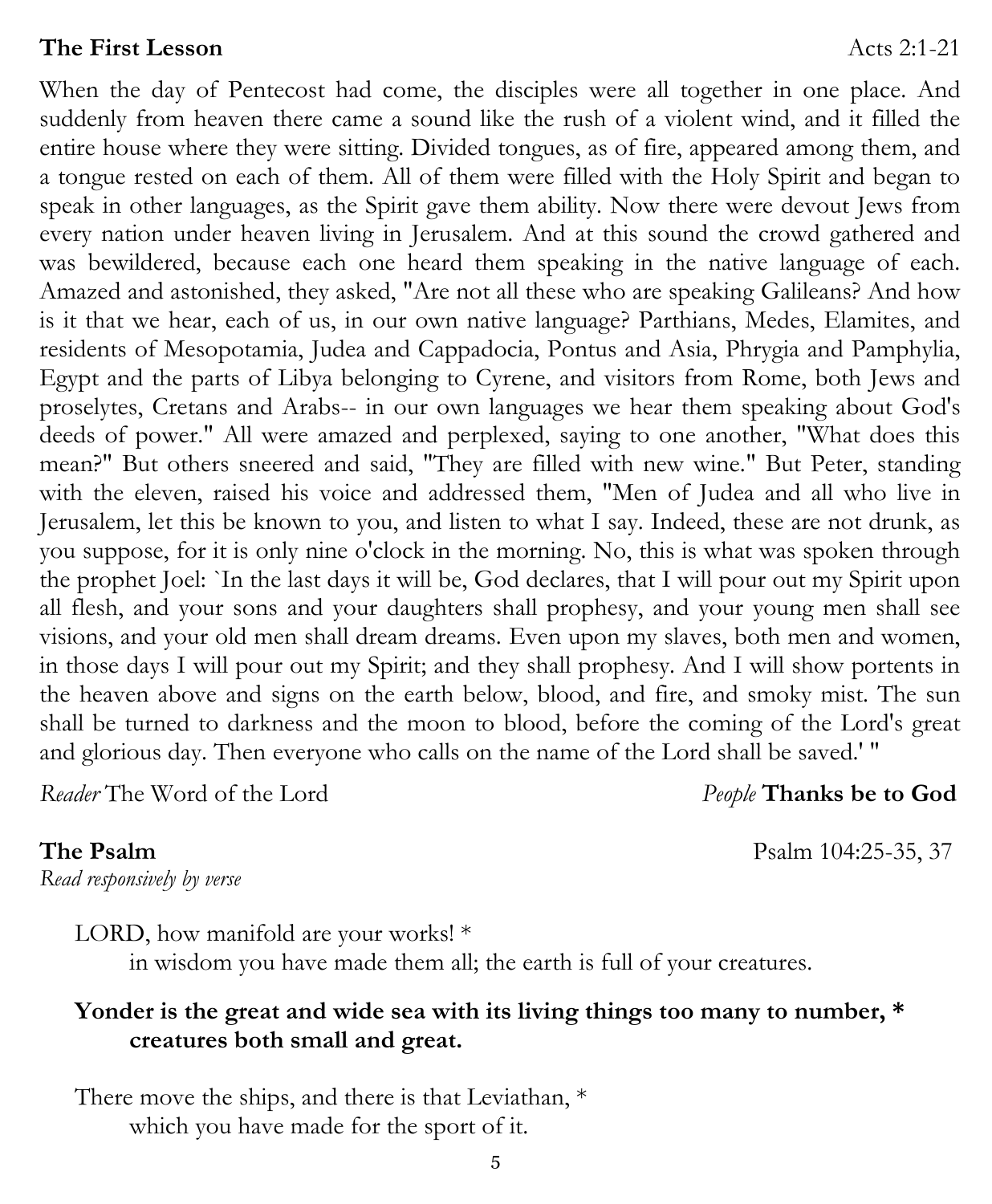#### **The First Lesson**  $\alpha$  Acts 2:1-21

When the day of Pentecost had come, the disciples were all together in one place. And suddenly from heaven there came a sound like the rush of a violent wind, and it filled the entire house where they were sitting. Divided tongues, as of fire, appeared among them, and a tongue rested on each of them. All of them were filled with the Holy Spirit and began to speak in other languages, as the Spirit gave them ability. Now there were devout Jews from every nation under heaven living in Jerusalem. And at this sound the crowd gathered and was bewildered, because each one heard them speaking in the native language of each. Amazed and astonished, they asked, "Are not all these who are speaking Galileans? And how is it that we hear, each of us, in our own native language? Parthians, Medes, Elamites, and residents of Mesopotamia, Judea and Cappadocia, Pontus and Asia, Phrygia and Pamphylia, Egypt and the parts of Libya belonging to Cyrene, and visitors from Rome, both Jews and proselytes, Cretans and Arabs-- in our own languages we hear them speaking about God's deeds of power." All were amazed and perplexed, saying to one another, "What does this mean?" But others sneered and said, "They are filled with new wine." But Peter, standing with the eleven, raised his voice and addressed them, "Men of Judea and all who live in Jerusalem, let this be known to you, and listen to what I say. Indeed, these are not drunk, as you suppose, for it is only nine o'clock in the morning. No, this is what was spoken through the prophet Joel: `In the last days it will be, God declares, that I will pour out my Spirit upon all flesh, and your sons and your daughters shall prophesy, and your young men shall see visions, and your old men shall dream dreams. Even upon my slaves, both men and women, in those days I will pour out my Spirit; and they shall prophesy. And I will show portents in the heaven above and signs on the earth below, blood, and fire, and smoky mist. The sun shall be turned to darkness and the moon to blood, before the coming of the Lord's great and glorious day. Then everyone who calls on the name of the Lord shall be saved.' "

*Reader* The Word of the Lord *People* **Thanks be to God**

*Read responsively by verse*

LORD, how manifold are your works! \* in wisdom you have made them all; the earth is full of your creatures.

### **Yonder is the great and wide sea with its living things too many to number, \* creatures both small and great.**

There move the ships, and there is that Leviathan, \* which you have made for the sport of it.

**The Psalm Psalm** 25-35, 37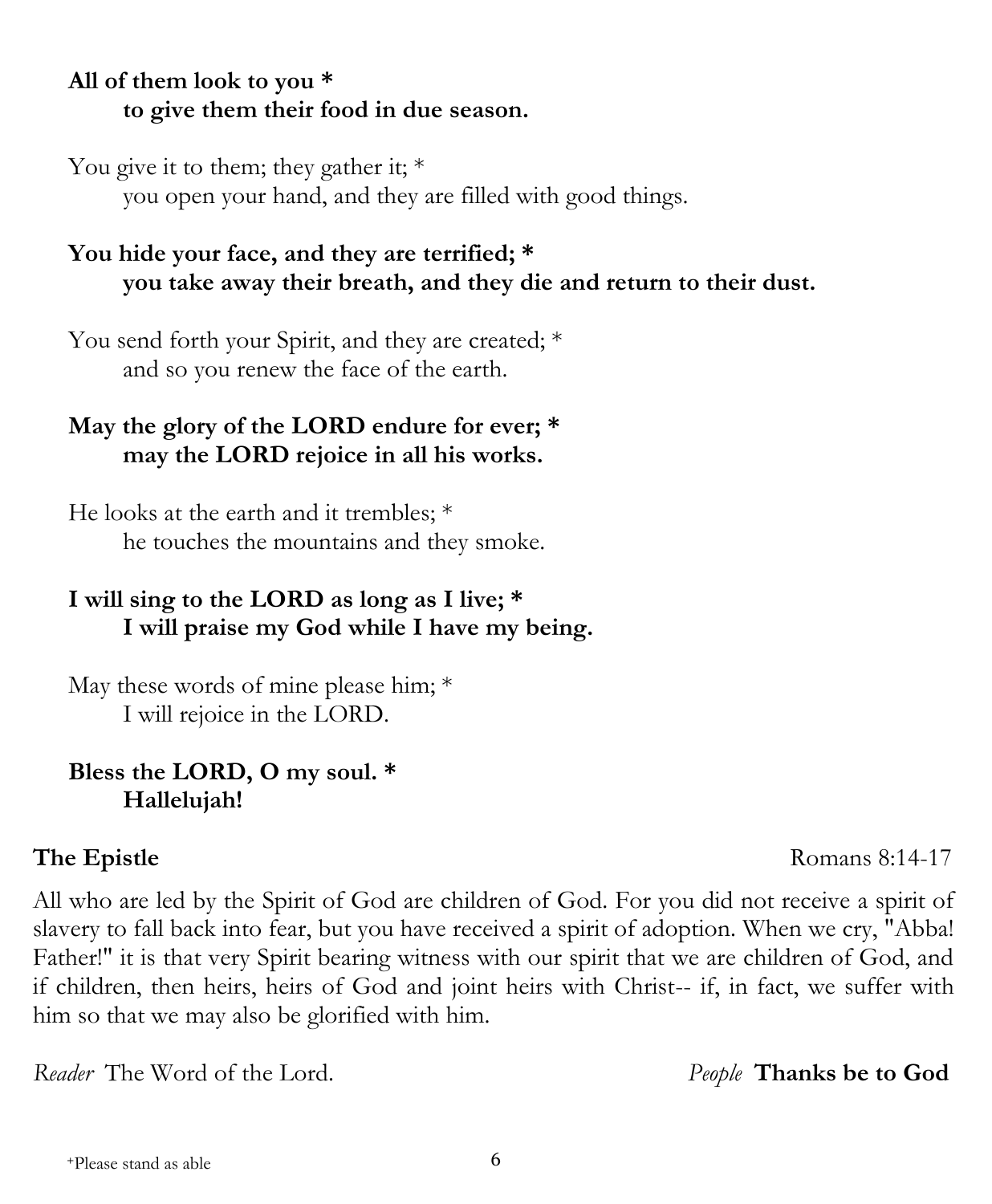# **I will sing to the LORD as long as I live; \* I will praise my God while I have my being.**

May these words of mine please him; \* I will rejoice in the LORD.

### **Bless the LORD, O my soul. \* Hallelujah!**

All who are led by the Spirit of God are children of God. For you did not receive a spirit of slavery to fall back into fear, but you have received a spirit of adoption. When we cry, "Abba! Father!" it is that very Spirit bearing witness with our spirit that we are children of God, and if children, then heirs, heirs of God and joint heirs with Christ-- if, in fact, we suffer with him so that we may also be glorified with him.

*Reader* The Word of the Lord. *People* **Thanks be to God**

#### +Please stand as able

**All of them look to you \* to give them their food in due season.**

You give it to them; they gather it;  $*$ you open your hand, and they are filled with good things.

### **You hide your face, and they are terrified; \* you take away their breath, and they die and return to their dust.**

You send forth your Spirit, and they are created;  $*$ and so you renew the face of the earth.

# **May the glory of the LORD endure for ever; \* may the LORD rejoice in all his works.**

He looks at the earth and it trembles; \* he touches the mountains and they smoke.

**The Epistle** Romans 8:14-17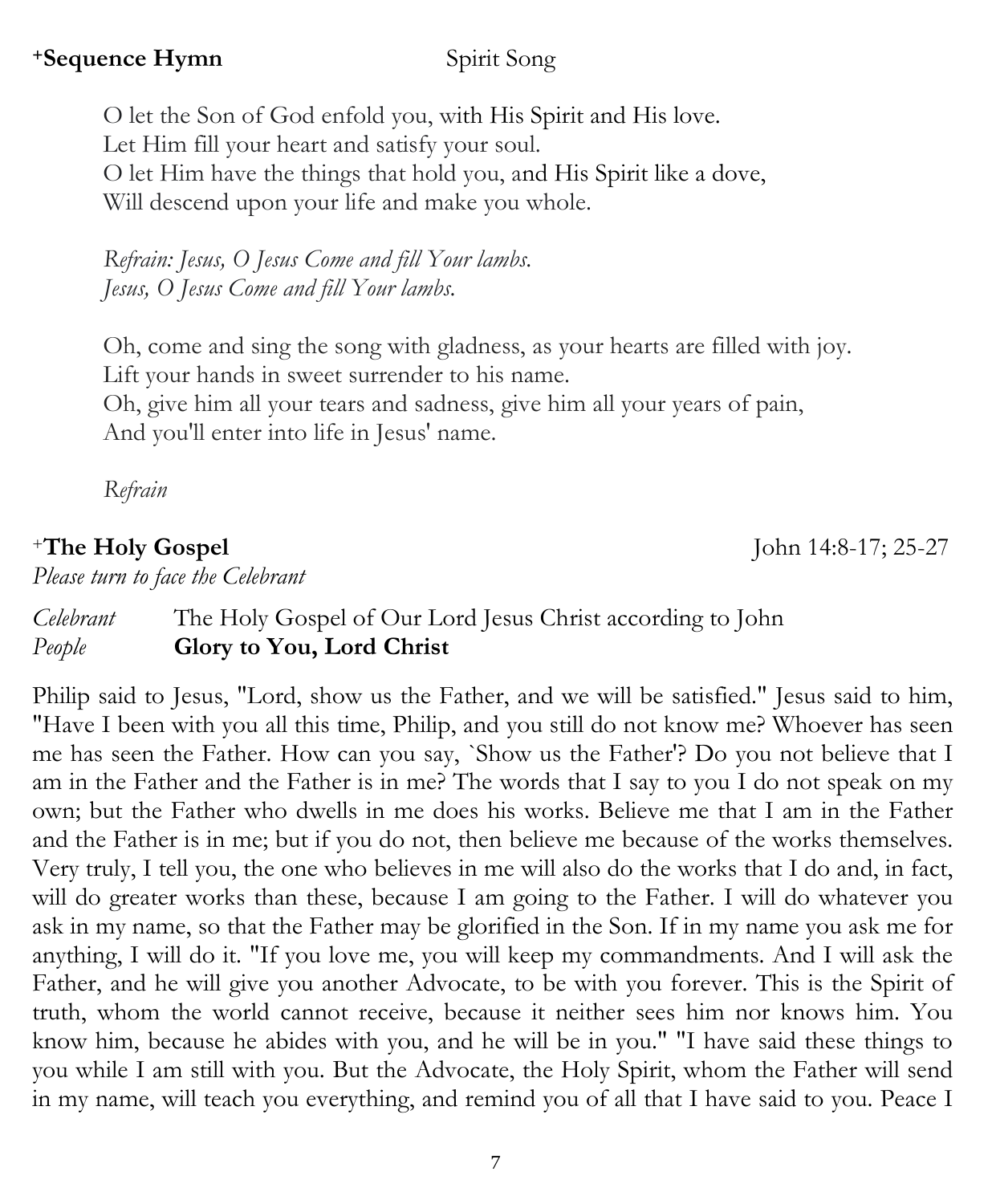### **+Sequence Hymn** Spirit Song

O let the Son of God enfold you, with His Spirit and His love. Let Him fill your heart and satisfy your soul. O let Him have the things that hold you, and His Spirit like a dove, Will descend upon your life and make you whole.

*Refrain: Jesus, O Jesus Come and fill Your lambs. Jesus, O Jesus Come and fill Your lambs.*

Oh, come and sing the song with gladness, as your hearts are filled with joy. Lift your hands in sweet surrender to his name.

Oh, give him all your tears and sadness, give him all your years of pain, And you'll enter into life in Jesus' name.

*Refrain*

# <sup>+</sup>**The Holy Gospel** John 14:8-17; 25-27

*Please turn to face the Celebrant*

# *Celebrant* The Holy Gospel of Our Lord Jesus Christ according to John *People* **Glory to You, Lord Christ**

Philip said to Jesus, "Lord, show us the Father, and we will be satisfied." Jesus said to him, "Have I been with you all this time, Philip, and you still do not know me? Whoever has seen me has seen the Father. How can you say, `Show us the Father'? Do you not believe that I am in the Father and the Father is in me? The words that I say to you I do not speak on my own; but the Father who dwells in me does his works. Believe me that I am in the Father and the Father is in me; but if you do not, then believe me because of the works themselves. Very truly, I tell you, the one who believes in me will also do the works that I do and, in fact, will do greater works than these, because I am going to the Father. I will do whatever you ask in my name, so that the Father may be glorified in the Son. If in my name you ask me for anything, I will do it. "If you love me, you will keep my commandments. And I will ask the Father, and he will give you another Advocate, to be with you forever. This is the Spirit of truth, whom the world cannot receive, because it neither sees him nor knows him. You know him, because he abides with you, and he will be in you." "I have said these things to you while I am still with you. But the Advocate, the Holy Spirit, whom the Father will send in my name, will teach you everything, and remind you of all that I have said to you. Peace I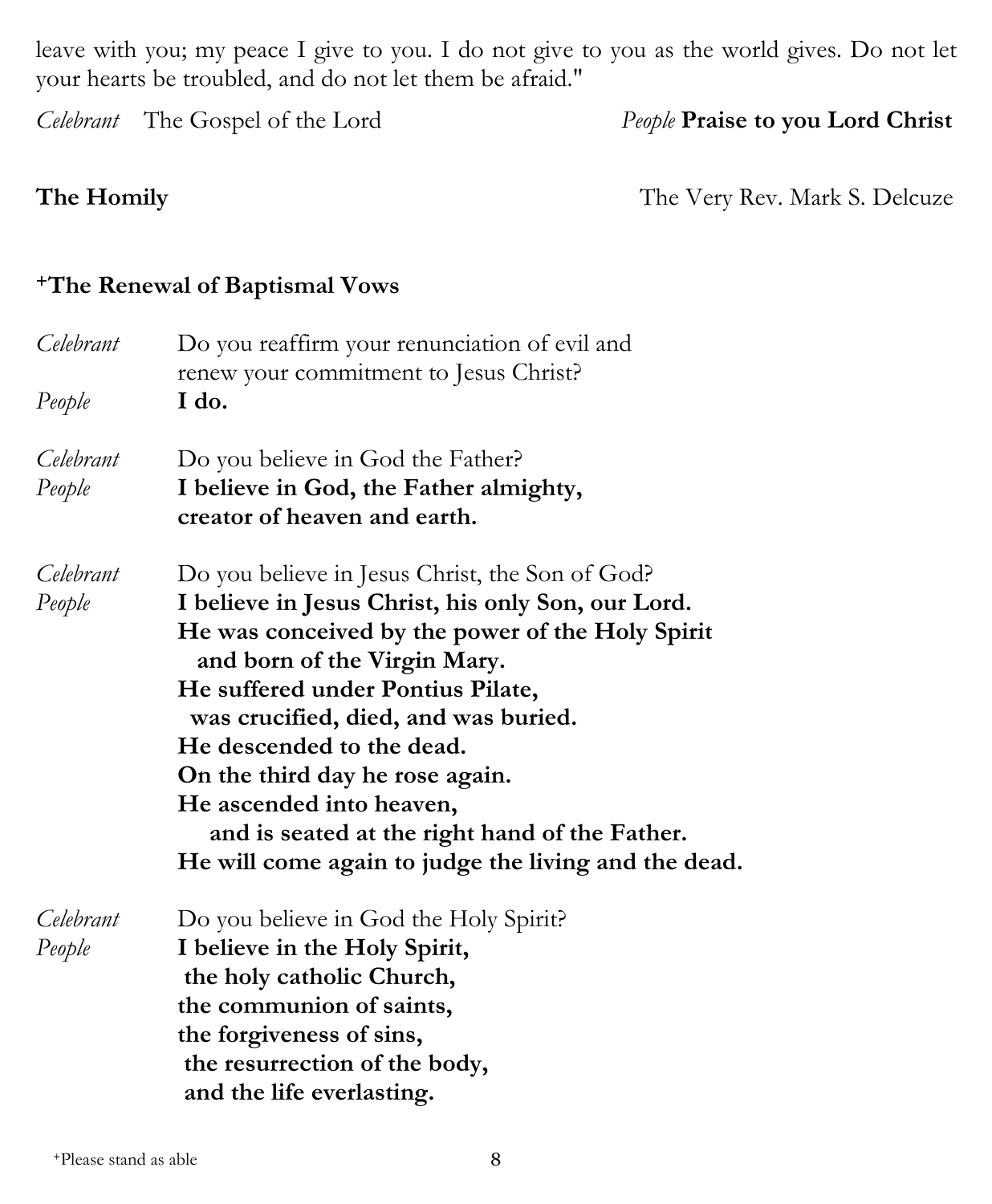leave with you; my peace I give to you. I do not give to you as the world gives. Do not let your hearts be troubled, and do not let them be afraid."

#### *Celebrant* The Gospel of the Lord *People* **Praise to you Lord Christ**

#### **The Homily The Very Rev. Mark S. Delcuze**

#### **<sup>+</sup>The Renewal of Baptismal Vows**

| Celebrant<br>People | Do you reaffirm your renunciation of evil and<br>renew your commitment to Jesus Christ?<br>I do.                                                                                                                                                                                                                                                                                                                                                                             |
|---------------------|------------------------------------------------------------------------------------------------------------------------------------------------------------------------------------------------------------------------------------------------------------------------------------------------------------------------------------------------------------------------------------------------------------------------------------------------------------------------------|
| Celebrant<br>People | Do you believe in God the Father?<br>I believe in God, the Father almighty,<br>creator of heaven and earth.                                                                                                                                                                                                                                                                                                                                                                  |
| Celebrant<br>People | Do you believe in Jesus Christ, the Son of God?<br>I believe in Jesus Christ, his only Son, our Lord.<br>He was conceived by the power of the Holy Spirit<br>and born of the Virgin Mary.<br>He suffered under Pontius Pilate,<br>was crucified, died, and was buried.<br>He descended to the dead.<br>On the third day he rose again.<br>He ascended into heaven,<br>and is seated at the right hand of the Father.<br>He will come again to judge the living and the dead. |
| Celebrant<br>People | Do you believe in God the Holy Spirit?<br>I believe in the Holy Spirit,<br>the holy catholic Church,<br>the communion of saints,<br>the forgiveness of sins,<br>the resurrection of the body,<br>and the life everlasting.                                                                                                                                                                                                                                                   |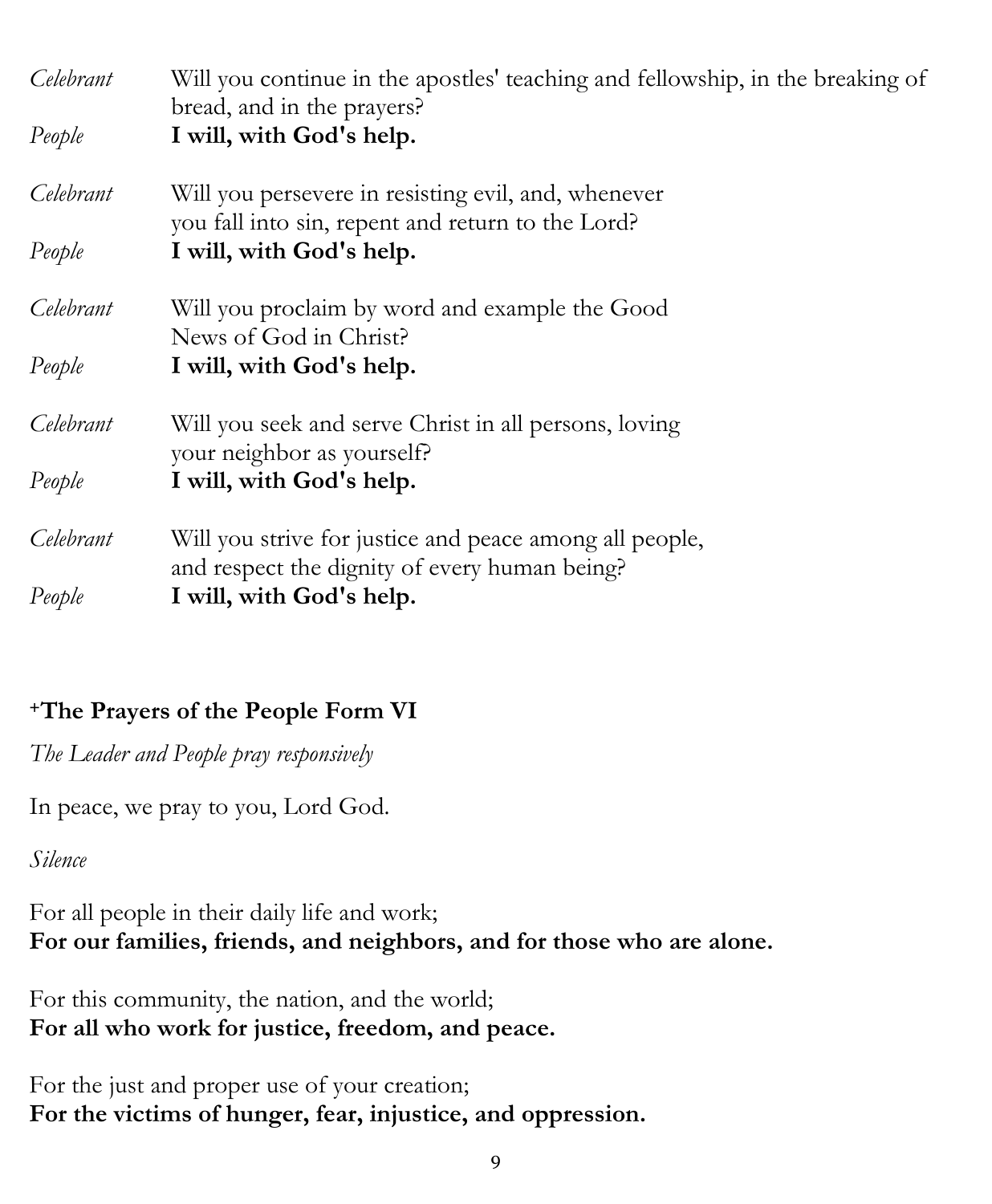| Celebrant | Will you continue in the apostles' teaching and fellowship, in the breaking of<br>bread, and in the prayers? |
|-----------|--------------------------------------------------------------------------------------------------------------|
| People    | I will, with God's help.                                                                                     |
| Celebrant | Will you persevere in resisting evil, and, whenever<br>you fall into sin, repent and return to the Lord?     |
| People    | I will, with God's help.                                                                                     |
| Celebrant | Will you proclaim by word and example the Good<br>News of God in Christ?                                     |
| People    | I will, with God's help.                                                                                     |
| Celebrant | Will you seek and serve Christ in all persons, loving<br>your neighbor as yourself?                          |
| People    | I will, with God's help.                                                                                     |
| Celebrant | Will you strive for justice and peace among all people,<br>and respect the dignity of every human being?     |
| People    | I will, with God's help.                                                                                     |

# **<sup>+</sup>The Prayers of the People Form VI**

*The Leader and People pray responsively*

In peace, we pray to you, Lord God.

# *Silence*

For all people in their daily life and work; **For our families, friends, and neighbors, and for those who are alone.**

For this community, the nation, and the world; **For all who work for justice, freedom, and peace.**

For the just and proper use of your creation; **For the victims of hunger, fear, injustice, and oppression.**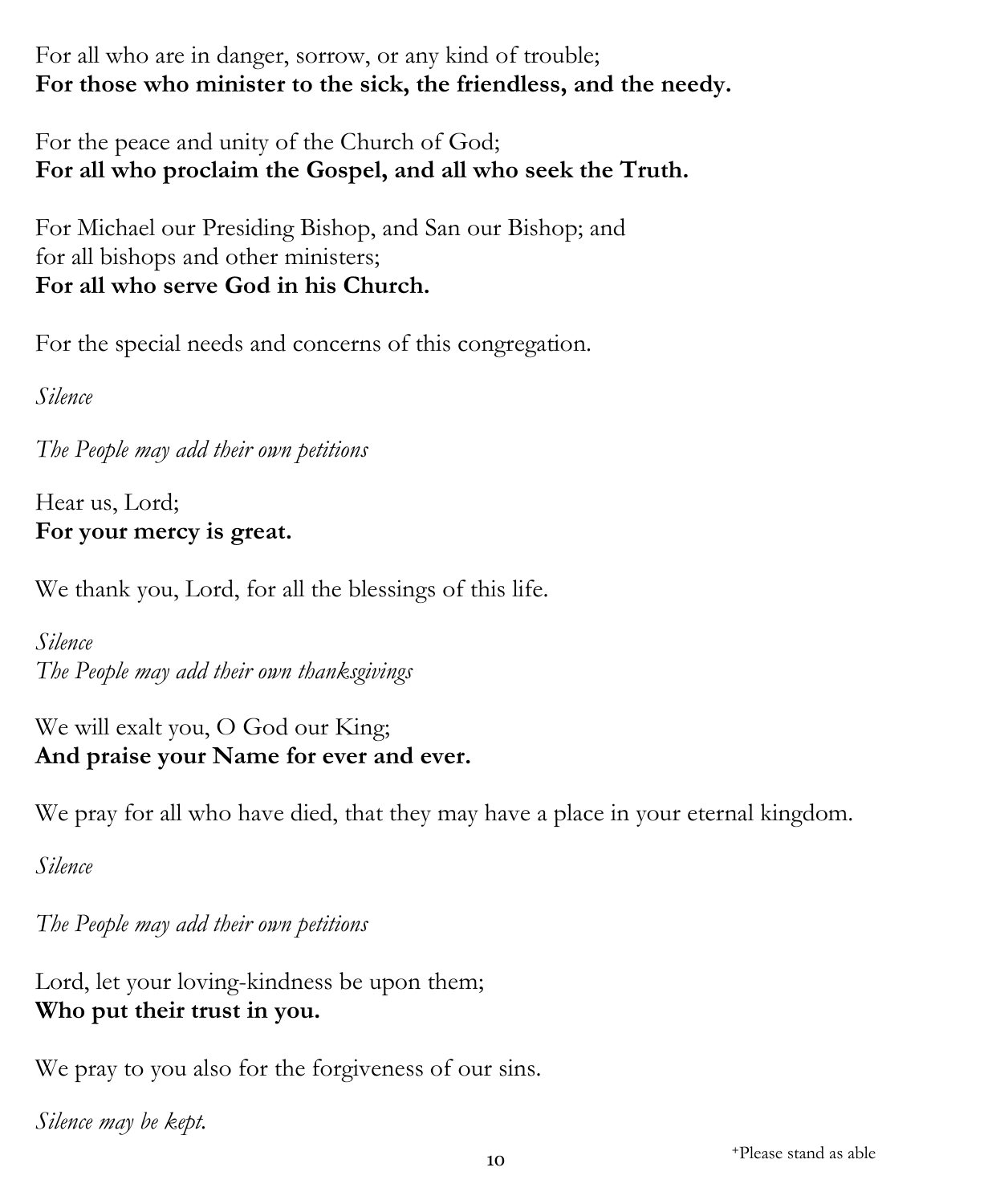For all who are in danger, sorrow, or any kind of trouble; **For those who minister to the sick, the friendless, and the needy.**

For the peace and unity of the Church of God; **For all who proclaim the Gospel, and all who seek the Truth.**

For Michael our Presiding Bishop, and San our Bishop; and for all bishops and other ministers; **For all who serve God in his Church.**

For the special needs and concerns of this congregation.

*Silence*

*The People may add their own petitions*

Hear us, Lord; **For your mercy is great.**

We thank you, Lord, for all the blessings of this life.

*Silence The People may add their own thanksgivings*

We will exalt you, O God our King; **And praise your Name for ever and ever.**

We pray for all who have died, that they may have a place in your eternal kingdom.

*Silence*

*The People may add their own petitions*

Lord, let your loving-kindness be upon them; **Who put their trust in you.**

We pray to you also for the forgiveness of our sins.

*Silence may be kept.*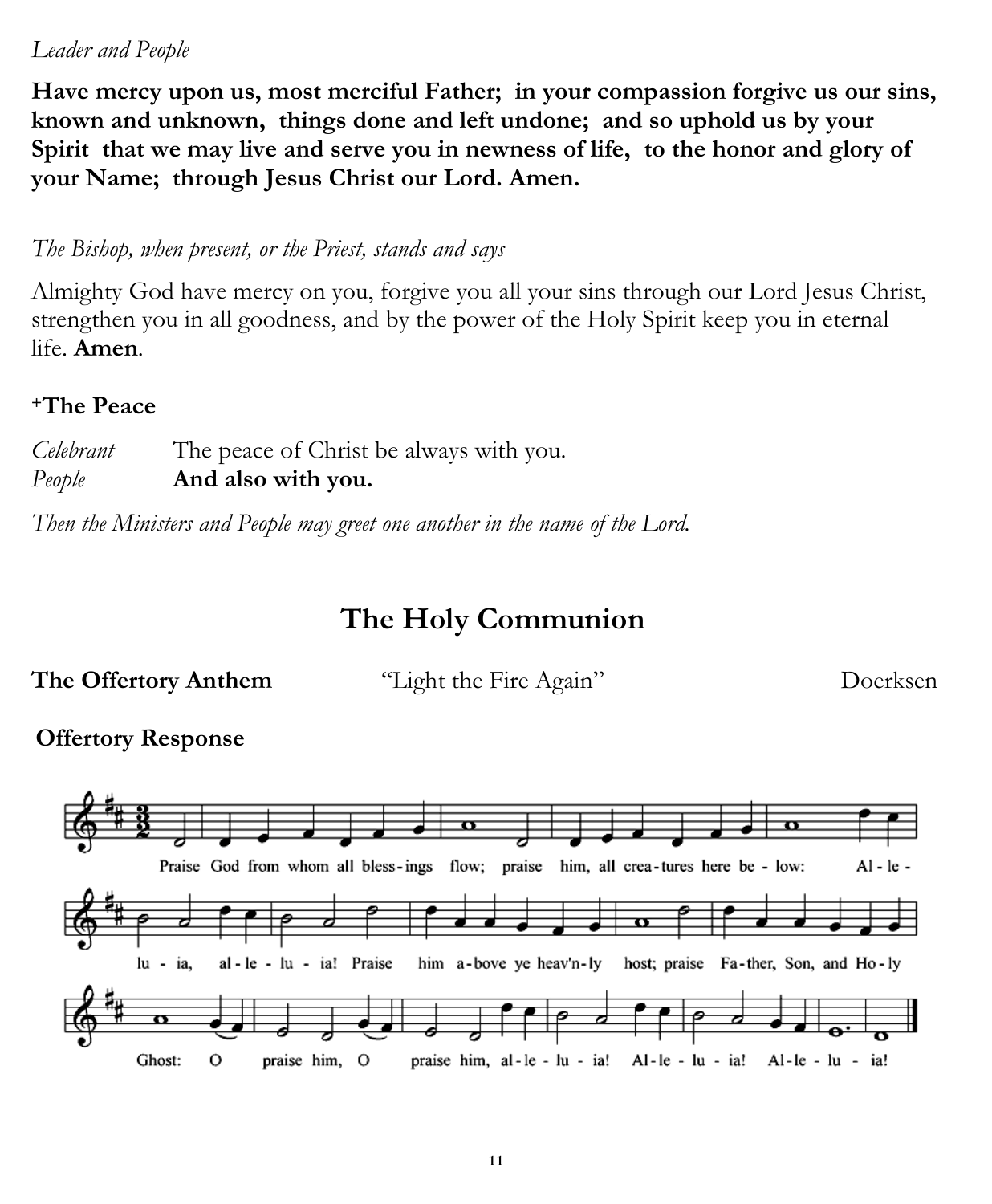### *Leader and People*

**Have mercy upon us, most merciful Father; in your compassion forgive us our sins, known and unknown, things done and left undone; and so uphold us by your Spirit that we may live and serve you in newness of life, to the honor and glory of your Name; through Jesus Christ our Lord. Amen.** 

### *The Bishop, when present, or the Priest, stands and says*

Almighty God have mercy on you, forgive you all your sins through our Lord Jesus Christ, strengthen you in all goodness, and by the power of the Holy Spirit keep you in eternal life. **Amen***.*

### **<sup>+</sup>The Peace**

*Celebrant* The peace of Christ be always with you. *People* **And also with you.**

*Then the Ministers and People may greet one another in the name of the Lord.*

# **The Holy Communion**

**The Offertory Anthem** "Light the Fire Again" Doerksen

### **Offertory Response**

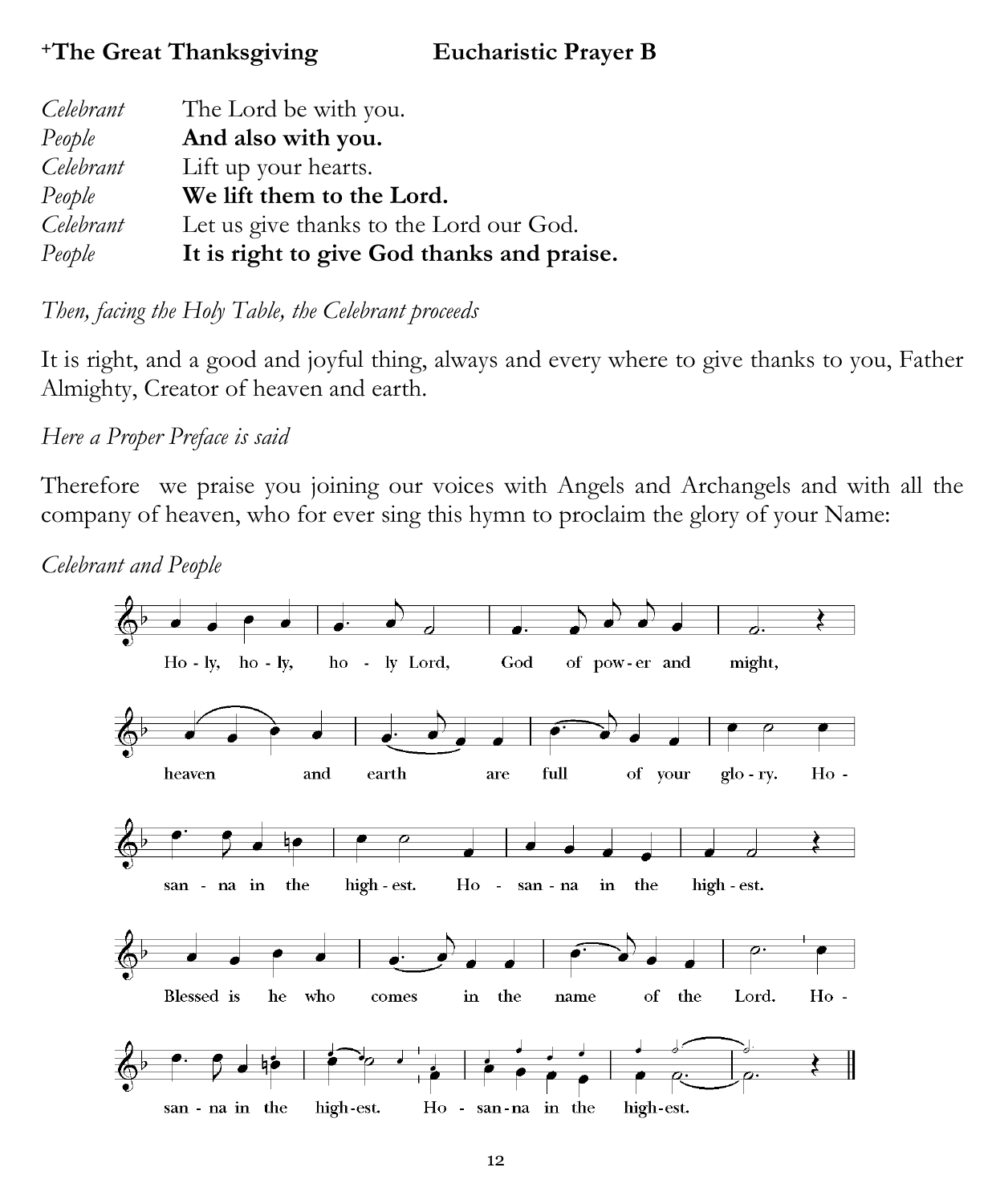# **<sup>+</sup>The Great Thanksgiving Eucharistic Prayer B**

| Celebrant | The Lord be with you.                      |
|-----------|--------------------------------------------|
| People    | And also with you.                         |
| Celebrant | Lift up your hearts.                       |
| People    | We lift them to the Lord.                  |
| Celebrant | Let us give thanks to the Lord our God.    |
| People    | It is right to give God thanks and praise. |

### *Then, facing the Holy Table, the Celebrant proceeds*

It is right, and a good and joyful thing, always and every where to give thanks to you, Father Almighty, Creator of heaven and earth.

#### *Here a [Proper Preface](https://www.bcponline.org/HE/pphe1.html) is said*

Therefore we praise you joining our voices with Angels and Archangels and with all the company of heaven, who for ever sing this hymn to proclaim the glory of your Name:

*Celebrant and People*

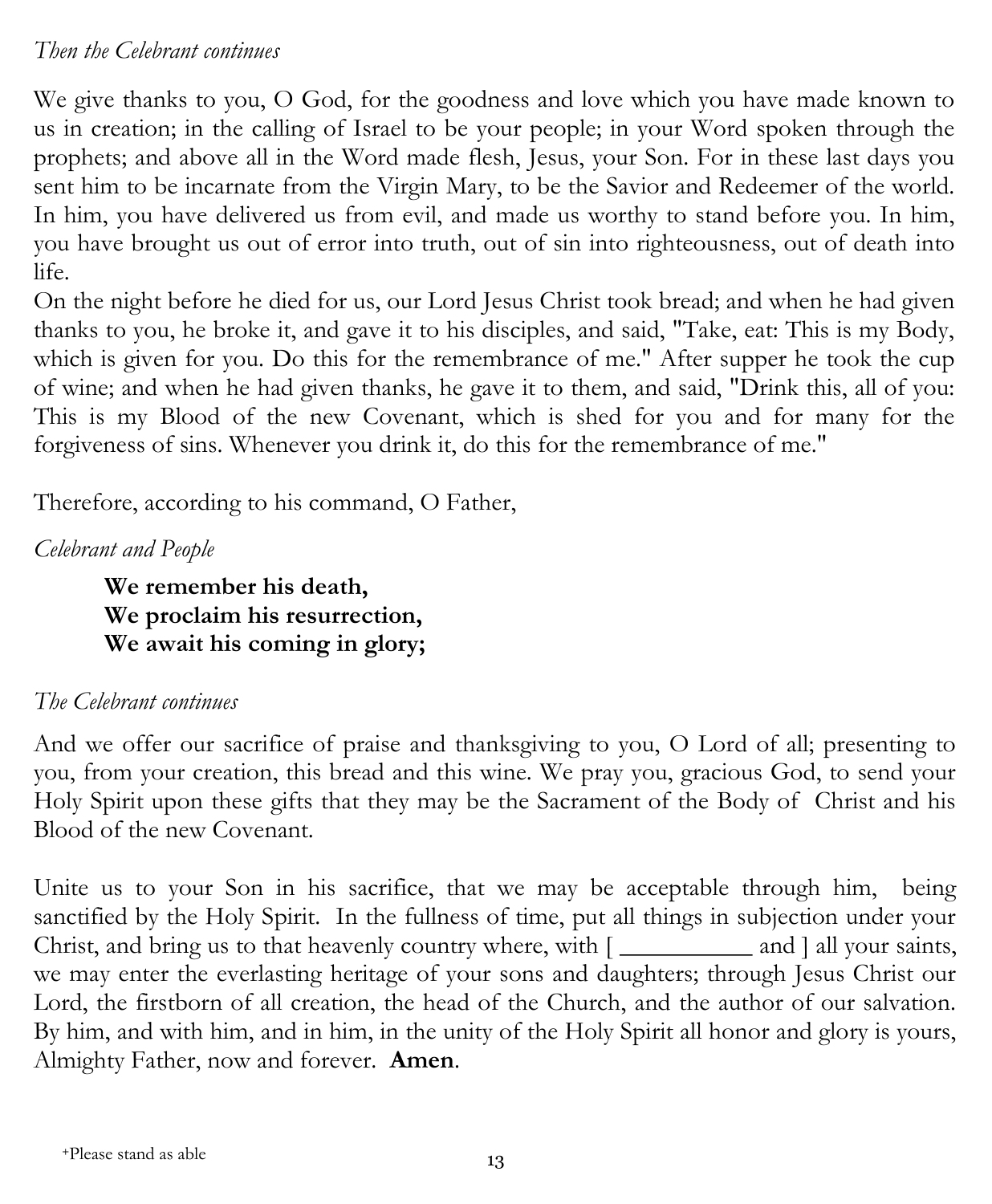### *Then the Celebrant continues*

We give thanks to you, O God, for the goodness and love which you have made known to us in creation; in the calling of Israel to be your people; in your Word spoken through the prophets; and above all in the Word made flesh, Jesus, your Son. For in these last days you sent him to be incarnate from the Virgin Mary, to be the Savior and Redeemer of the world. In him, you have delivered us from evil, and made us worthy to stand before you. In him, you have brought us out of error into truth, out of sin into righteousness, out of death into life.

On the night before he died for us, our Lord Jesus Christ took bread; and when he had given thanks to you, he broke it, and gave it to his disciples, and said, "Take, eat: This is my Body, which is given for you. Do this for the remembrance of me." After supper he took the cup of wine; and when he had given thanks, he gave it to them, and said, "Drink this, all of you: This is my Blood of the new Covenant, which is shed for you and for many for the forgiveness of sins. Whenever you drink it, do this for the remembrance of me."

Therefore, according to his command, O Father,

*Celebrant and People*

**We remember his death, We proclaim his resurrection, We await his coming in glory;** 

### *The Celebrant continues*

And we offer our sacrifice of praise and thanksgiving to you, O Lord of all; presenting to you, from your creation, this bread and this wine. We pray you, gracious God, to send your Holy Spirit upon these gifts that they may be the Sacrament of the Body of Christ and his Blood of the new Covenant.

Unite us to your Son in his sacrifice, that we may be acceptable through him, being sanctified by the Holy Spirit. In the fullness of time, put all things in subjection under your Christ, and bring us to that heavenly country where, with  $\lceil \frac{1}{\lceil \frac{1}{n \rceil}} \rceil$  and  $\lceil \frac{1}{n \rceil} \rceil$  and  $\lceil \frac{1}{n \rceil} \rceil$ we may enter the everlasting heritage of your sons and daughters; through Jesus Christ our Lord, the firstborn of all creation, the head of the Church, and the author of our salvation. By him, and with him, and in him, in the unity of the Holy Spirit all honor and glory is yours, Almighty Father, now and forever. **Amen**.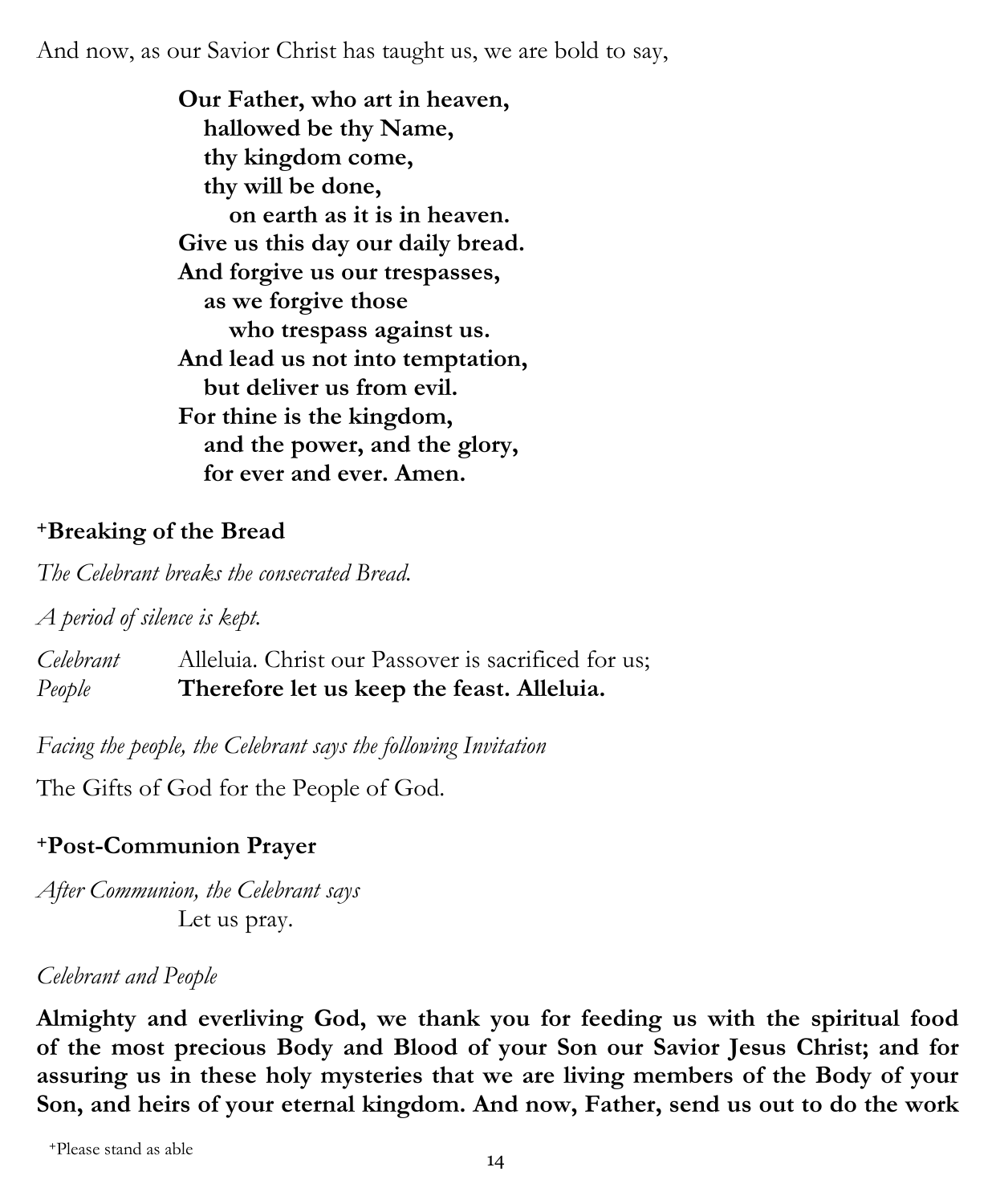And now, as our Savior Christ has taught us, we are bold to say,

**Our Father, who art in heaven, hallowed be thy Name, thy kingdom come, thy will be done, on earth as it is in heaven. Give us this day our daily bread. And forgive us our trespasses, as we forgive those who trespass against us. And lead us not into temptation, but deliver us from evil. For thine is the kingdom, and the power, and the glory, for ever and ever. Amen.** 

# **<sup>+</sup>Breaking of the Bread**

*The Celebrant breaks the consecrated Bread.* 

*A period of silence is kept.*

*Celebrant* Alleluia. Christ our Passover is sacrificed for us; *People* **Therefore let us keep the feast. Alleluia.**

*Facing the people, the Celebrant says the following Invitation*

The Gifts of God for the People of God.

# **<sup>+</sup>Post-Communion Prayer**

*After Communion, the Celebrant says* Let us pray.

# *Celebrant and People*

**Almighty and everliving God, we thank you for feeding us with the spiritual food of the most precious Body and Blood of your Son our Savior Jesus Christ; and for assuring us in these holy mysteries that we are living members of the Body of your Son, and heirs of your eternal kingdom. And now, Father, send us out to do the work** 

+Please stand as able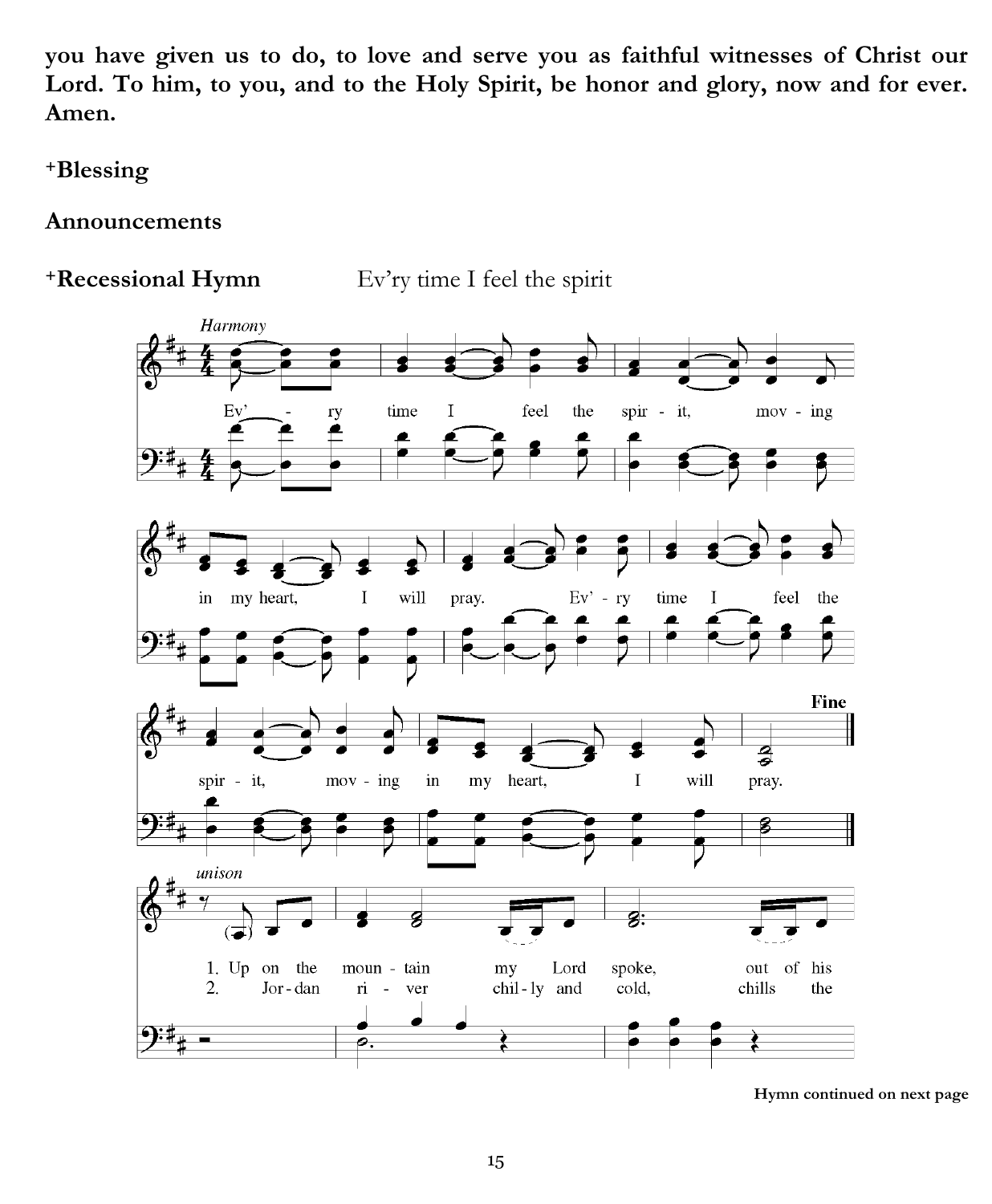**you have given us to do, to love and serve you as faithful witnesses of Christ our Lord. To him, to you, and to the Holy Spirit, be honor and glory, now and for ever. Amen.** 

**<sup>+</sup>Blessing**

#### **Announcements**

**<sup>+</sup>Recessional Hymn** Ev'ry time I feel the spirit



**Hymn continued on next page**